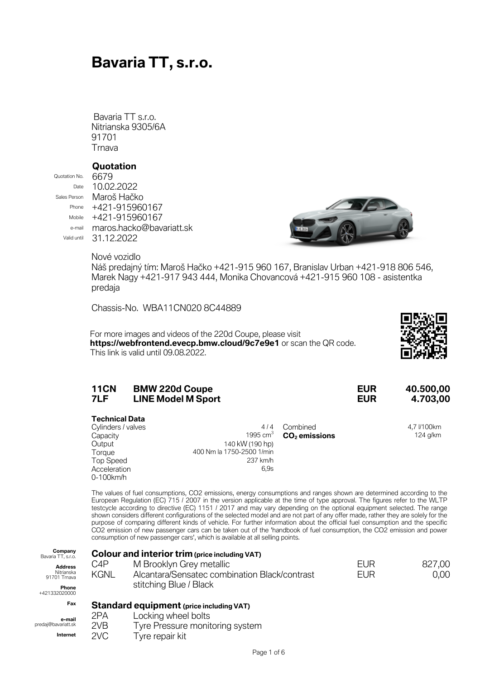# **Bavaria TT, s.r.o.**

Bavaria TT s.r.o. Nitrianska 9305/6A 91701 **Trnava** 

#### **Quotation**

Quotation No. 6679

Date 10.02.2022 Sales Person Maroš Hačko Phone +421-915960167 Mobile +421-915960167 e-mail maros.hacko@bavariatt.sk Valid until 31 12 2022



Nové vozidlo

Náš predajný tím: Maroš Hačko +421-915 960 167, Branislav Urban +421-918 806 546, Marek Nagy +421-917 943 444, Monika Chovancová +421-915 960 108 - asistentka predaja

Chassis-No. WBA11CN020 8C44889

For more images and videos of the 220d Coupe, please visit **https://webfrontend.evecp.bmw.cloud/9c7e9e1** or scan the QR code. This link is valid until 09.08.2022.



| <b>11CN</b> | <b>BMW 220d Coupe</b>     | <b>EUR</b> | 40.500,00 |
|-------------|---------------------------|------------|-----------|
| 7LF         | <b>LINE Model M Sport</b> | <b>EUR</b> | 4.703,00  |
|             |                           |            |           |

| <b>Technical Data</b> |  |
|-----------------------|--|
| Cylinders / valves    |  |

| Cylinders / valves | 4/4                       | Combined                   | 4,7 l/100km |
|--------------------|---------------------------|----------------------------|-------------|
| Capacity           |                           | 1995 $cm3$ $CO2$ emissions | 124 g/km    |
| Output             | 140 kW (190 hp)           |                            |             |
| Torque             | 400 Nm la 1750-2500 1/min |                            |             |
| Top Speed          | 237 km/h                  |                            |             |
| Acceleration       | 6.9s                      |                            |             |
| 0.40011            |                           |                            |             |

0-100km/h The values of fuel consumptions, CO2 emissions, energy consumptions and ranges shown are determined according to the European Regulation (EC) 715 / 2007 in the version applicable at the time of type approval. The figures refer to the WLTP testcycle according to directive (EC) 1151 / 2017 and may vary depending on the optional equipment selected. The range shown considers different configurations of the selected model and are not part of any offer made, rather they are solely for the purpose of comparing different kinds of vehicle. For further information about the official fuel consumption and the specific CO2 emission of new passenger cars can be taken out of the 'handbook of fuel consumption, the CO2 emission and power consumption of new passenger cars', which is available at all selling points.

| Company<br>Bavaria TT, s.r.o.<br><b>Address</b><br>Nitrianska<br>91701 Trnava<br>Phone<br>+421332020000 | C4P<br><b>KGNL</b>                       | <b>Colour and interior trim (price including VAT)</b><br>M Brooklyn Grey metallic<br>Alcantara/Sensatec combination Black/contrast<br>stitching Blue / Black | EUR<br><b>EUR</b> | 827,00<br>0,00 |
|---------------------------------------------------------------------------------------------------------|------------------------------------------|--------------------------------------------------------------------------------------------------------------------------------------------------------------|-------------------|----------------|
| Fax                                                                                                     | Standard equipment (price including VAT) |                                                                                                                                                              |                   |                |
| e-mail<br>predaj@bavariatt.sk<br>Internet                                                               | 2PA<br>2VB<br>2VC                        | Locking wheel bolts<br>Tyre Pressure monitoring system<br>Tyre repair kit                                                                                    |                   |                |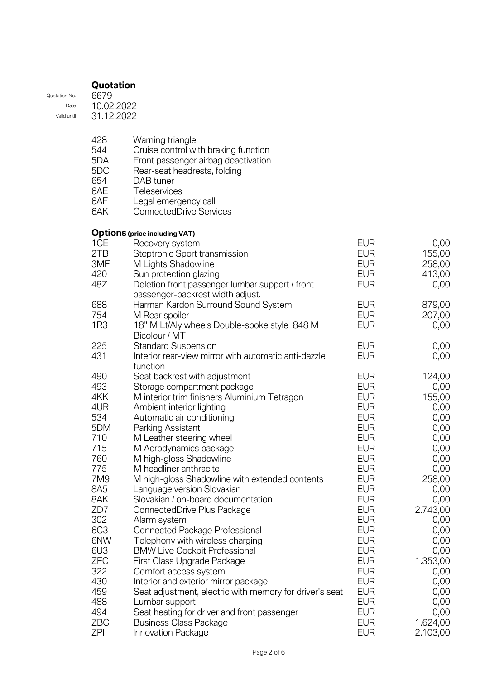|               | Quotation  |
|---------------|------------|
| Quotation No. | 6679       |
| Date          | 10.02.2022 |
| Valid until   | 31.12.2022 |
|               |            |

| 428 | Warning triangle                     |
|-----|--------------------------------------|
| 544 | Cruise control with braking function |
| 5DA | Front passenger airbag deactivation  |
| 5DC | Rear-seat headrests, folding         |

- 654 DAB tuner
- 
- 6AE Teleservices<br>6AF Legal emerge 6AF Legal emergency call
- 6AK ConnectedDrive Services

### **Options (price including VAT)**

| 1CE        | Recovery system                                         | <b>EUR</b> | 0,00     |
|------------|---------------------------------------------------------|------------|----------|
| 2TB        | Steptronic Sport transmission                           | <b>EUR</b> | 155,00   |
| 3MF        | M Lights Shadowline                                     | <b>EUR</b> | 258,00   |
| 420        | Sun protection glazing                                  | <b>EUR</b> | 413,00   |
| 48Z        | Deletion front passenger lumbar support / front         | <b>EUR</b> | 0,00     |
|            | passenger-backrest width adjust.                        |            |          |
| 688        | Harman Kardon Surround Sound System                     | <b>EUR</b> | 879,00   |
| 754        | M Rear spoiler                                          | <b>EUR</b> | 207,00   |
| 1R3        | 18" M Lt/Aly wheels Double-spoke style 848 M            | <b>EUR</b> | 0,00     |
|            | Bicolour / MT                                           |            |          |
| 225        | <b>Standard Suspension</b>                              | <b>EUR</b> | 0,00     |
| 431        | Interior rear-view mirror with automatic anti-dazzle    | <b>EUR</b> | 0,00     |
|            | function                                                |            |          |
| 490        | Seat backrest with adjustment                           | <b>EUR</b> | 124,00   |
| 493        | Storage compartment package                             | <b>EUR</b> | 0,00     |
| 4KK        | M interior trim finishers Aluminium Tetragon            | <b>EUR</b> | 155,00   |
| 4UR        | Ambient interior lighting                               | <b>EUR</b> | 0,00     |
| 534        | Automatic air conditioning                              | <b>EUR</b> | 0,00     |
| 5DM        | Parking Assistant                                       | <b>EUR</b> | 0,00     |
| 710        | M Leather steering wheel                                | <b>EUR</b> | 0,00     |
| 715        | M Aerodynamics package                                  | <b>EUR</b> | 0,00     |
| 760        | M high-gloss Shadowline                                 | <b>EUR</b> | 0,00     |
| 775        | M headliner anthracite                                  | <b>EUR</b> | 0,00     |
| 7M9        | M high-gloss Shadowline with extended contents          | <b>EUR</b> | 258,00   |
| 8A5        | Language version Slovakian                              | <b>EUR</b> | 0,00     |
| 8AK        | Slovakian / on-board documentation                      | <b>EUR</b> | 0,00     |
| ZD7        | ConnectedDrive Plus Package                             | <b>EUR</b> | 2.743,00 |
| 302        | Alarm system                                            | <b>EUR</b> | 0,00     |
| 6C3        | <b>Connected Package Professional</b>                   | <b>EUR</b> | 0,00     |
| 6NW        | Telephony with wireless charging                        | <b>EUR</b> | 0,00     |
| 6U3        | <b>BMW Live Cockpit Professional</b>                    | <b>EUR</b> | 0,00     |
| <b>ZFC</b> | First Class Upgrade Package                             | <b>EUR</b> | 1.353,00 |
| 322        | Comfort access system                                   | <b>EUR</b> | 0,00     |
| 430        | Interior and exterior mirror package                    | <b>EUR</b> | 0,00     |
| 459        | Seat adjustment, electric with memory for driver's seat | <b>EUR</b> | 0,00     |
| 488        | Lumbar support                                          | <b>EUR</b> | 0,00     |
| 494        | Seat heating for driver and front passenger             | <b>EUR</b> | 0,00     |
| <b>ZBC</b> | <b>Business Class Package</b>                           | <b>EUR</b> | 1.624,00 |
| <b>ZPI</b> | <b>Innovation Package</b>                               | <b>EUR</b> | 2.103,00 |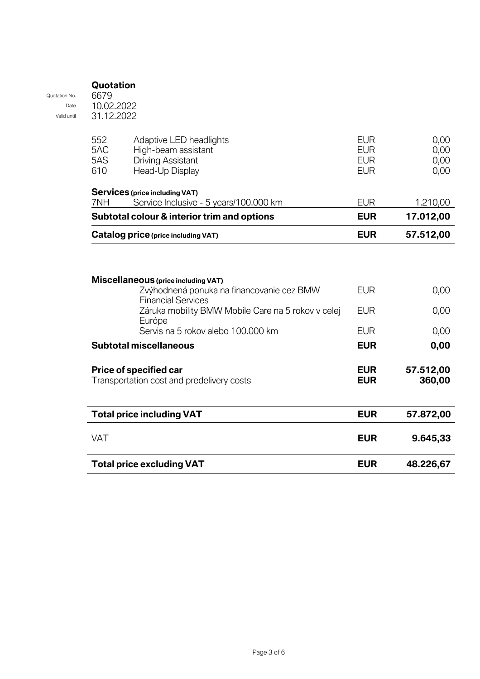| Quotation No.       | 6679                     |                                                                                                                                     |                                                      |                              |
|---------------------|--------------------------|-------------------------------------------------------------------------------------------------------------------------------------|------------------------------------------------------|------------------------------|
| Date<br>Valid until | 10.02.2022<br>31.12.2022 |                                                                                                                                     |                                                      |                              |
|                     | 552<br>5AC<br>5AS<br>610 | Adaptive LED headlights<br>High-beam assistant<br><b>Driving Assistant</b><br>Head-Up Display                                       | <b>EUR</b><br><b>EUR</b><br><b>EUR</b><br><b>EUR</b> | 0,00<br>0,00<br>0,00<br>0,00 |
|                     |                          | <b>Services (price including VAT)</b>                                                                                               |                                                      |                              |
|                     | 7NH                      | Service Inclusive - 5 years/100.000 km                                                                                              | <b>EUR</b>                                           | 1.210,00                     |
|                     |                          | Subtotal colour & interior trim and options                                                                                         | <b>EUR</b>                                           | 17.012,00                    |
|                     |                          | Catalog price (price including VAT)                                                                                                 | <b>EUR</b>                                           | 57.512,00                    |
|                     |                          | Záruka mobility BMW Mobile Care na 5 rokov v celej<br>Európe<br>Servis na 5 rokov alebo 100.000 km<br><b>Subtotal miscellaneous</b> | <b>EUR</b><br><b>EUR</b><br><b>EUR</b>               | 0,00<br>0,00<br>0,00         |
|                     |                          | Price of specified car<br>Transportation cost and predelivery costs                                                                 | <b>EUR</b><br><b>EUR</b>                             | 57.512,00<br>360,00          |
|                     |                          |                                                                                                                                     | <b>EUR</b>                                           |                              |
|                     |                          | <b>Total price including VAT</b>                                                                                                    |                                                      | 57.872,00                    |
|                     | <b>VAT</b>               |                                                                                                                                     | <b>EUR</b>                                           | 9.645,33                     |

**Quotation**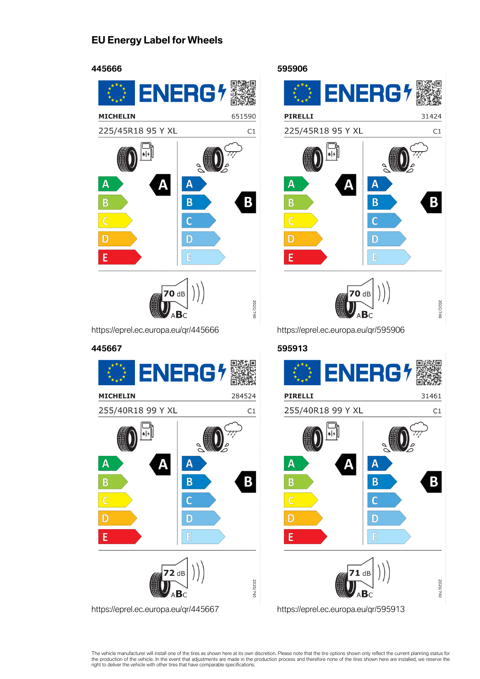## **EU Energy Label for Wheels**



https://eprel.ec.europa.eu/qr/445666



https://eprel.ec.europa.eu/qr/445667

ENERG<sup>4</sup> **PIRELLI** 31424 225/45R18 95 Y XL  $C1$ |۶|  $\overline{\mathsf{A}}$  $\overline{\mathsf{A}}$ Δ  $\overline{\mathbf{B}}$ B B  $\mathbb{C}$ D D F F 70 dB 2020/740

**595906**

https://eprel.ec.europa.eu/qr/595906

## **595913 PIRELLI** 31461 255/40R18 99 Y XL  $C1$  $\left| \bullet \right| \neq$ Α Δ  $\overline{A}$ B B B  $\overline{C}$ D  $\overline{D}$ F F  $^{\prime}$ 1 dB 2020/740 ∆B∈ https://eprel.ec.europa.eu/qr/595913

The vehicle manufacturer will install one of the tires as shown here at its own discretion. Please note that the tire options shown only reflect the current planning status for<br>the production of the vehicle. In the event t right to deliver the vehicle with other tires that have comparable specifications.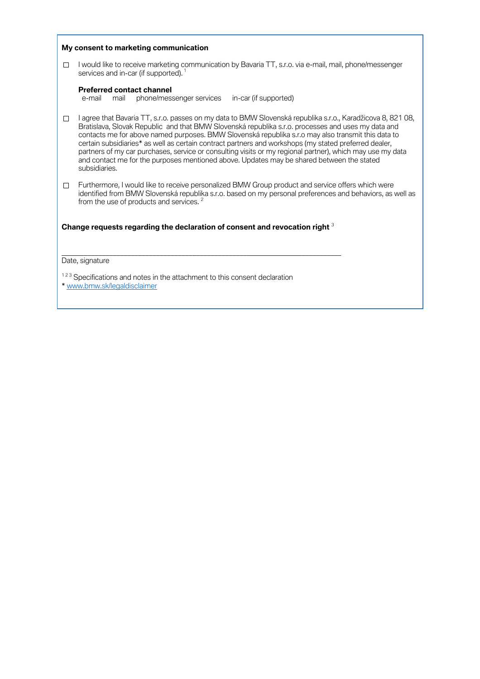|        | My consent to marketing communication                                                                                                                                                                                                                                                                                                                                                                                                                                                                                                                                                                                                                       |
|--------|-------------------------------------------------------------------------------------------------------------------------------------------------------------------------------------------------------------------------------------------------------------------------------------------------------------------------------------------------------------------------------------------------------------------------------------------------------------------------------------------------------------------------------------------------------------------------------------------------------------------------------------------------------------|
| $\Box$ | I would like to receive marketing communication by Bavaria TT, s.r.o. via e-mail, mail, phone/messenger<br>services and in-car (if supported). <sup>1</sup>                                                                                                                                                                                                                                                                                                                                                                                                                                                                                                 |
|        | <b>Preferred contact channel</b><br>phone/messenger services<br>in-car (if supported)<br>e-mail<br>mail                                                                                                                                                                                                                                                                                                                                                                                                                                                                                                                                                     |
| $\Box$ | I agree that Bavaria TT, s.r.o. passes on my data to BMW Slovenská republika s.r.o., Karadžicova 8, 821 08,<br>Bratislava, Slovak Republic and that BMW Slovenská republika s.r.o. processes and uses my data and<br>contacts me for above named purposes. BMW Slovenská republika s.r.o may also transmit this data to<br>certain subsidiaries* as well as certain contract partners and workshops (my stated preferred dealer,<br>partners of my car purchases, service or consulting visits or my regional partner), which may use my data<br>and contact me for the purposes mentioned above. Updates may be shared between the stated<br>subsidiaries. |
| $\Box$ | Furthermore, I would like to receive personalized BMW Group product and service offers which were<br>identified from BMW Slovenská republika s.r.o. based on my personal preferences and behaviors, as well as<br>from the use of products and services. <sup>2</sup>                                                                                                                                                                                                                                                                                                                                                                                       |
|        | Change requests regarding the declaration of consent and revocation right 3                                                                                                                                                                                                                                                                                                                                                                                                                                                                                                                                                                                 |
|        | Date, signature                                                                                                                                                                                                                                                                                                                                                                                                                                                                                                                                                                                                                                             |
|        | <sup>123</sup> Specifications and notes in the attachment to this consent declaration<br>* www.bmw.sk/legaldisclaimer                                                                                                                                                                                                                                                                                                                                                                                                                                                                                                                                       |